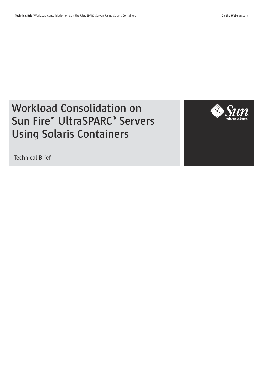# **Workload Consolidation on Sun Fire**™ **UltraSPARC**® **Servers Using Solaris Containers**



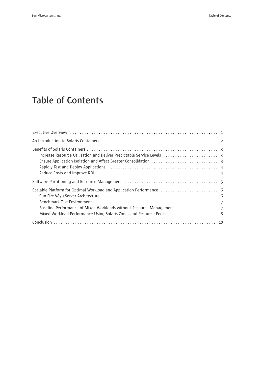# **Table of Contents**

| Increase Resource Utilization and Deliver Predictable Service Levels 3 |
|------------------------------------------------------------------------|
|                                                                        |
|                                                                        |
|                                                                        |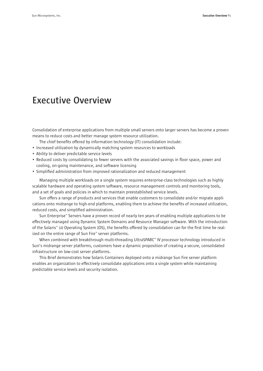### **Executive Overview**

Consolidation of enterprise applications from multiple small servers onto larger servers has become a proven means to reduce costs and better manage system resource utilization.

The chief benefits offered by information technology (IT) consolidation include:

- Increased utilization by dynamically matching system resources to workloads
- Ability to deliver predictable service levels
- Reduced costs by consolidating to fewer servers with the associated savings in floor space, power and cooling, on-going maintenance, and software licensing
- Simplified administration from improved rationalization and reduced management

Managing multiple workloads on a single system requires enterprise-class technologies such as highly scalable hardware and operating system software, resource management controls and monitoring tools, and a set of goals and policies in which to maintain preestablished service levels.

Sun offers a range of products and services that enable customers to consolidate and/or migrate applications onto midrange to high-end platforms, enabling them to achieve the benefits of increased utilization, reduced costs, and simplified administration.

Sun Enterprise™ Servers have a proven record of nearly ten years of enabling multiple applications to be effectively managed using Dynamic System Domains and Resource Manager software. With the introduction of the Solaris™ 10 Operating System (OS), the benefits offered by consolidation can for the first time be realized on the entire range of Sun Fire™ server platforms.

When combined with breakthrough multi-threading UltraSPARC™ IV processor technology introduced in Sun's midrange server platforms, customers have a dynamic proposition of creating a secure, consolidated infrastructure on low-cost server platforms.

This Brief demonstrates how Solaris Containers deployed onto a midrange Sun Fire server platform enables an organization to effectively consolidate applications onto a single system while maintaining predictable service levels and security isolation.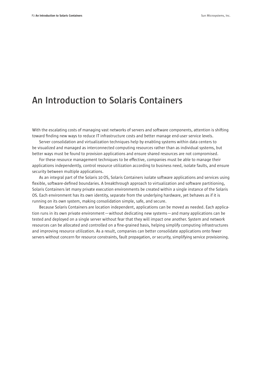### **An Introduction to Solaris Containers**

With the escalating costs of managing vast networks of servers and software components, attention is shifting toward finding new ways to reduce IT infrastructure costs and better manage end-user service levels.

Server consolidation and virtualization techniques help by enabling systems within data centers to be visualized and managed as interconnected computing resources rather than as individual systems, but better ways must be found to provision applications and ensure shared resources are not compromised.

For these resource management techniques to be effective, companies must be able to manage their applications independently, control resource utilization according to business need, isolate faults, and ensure security between multiple applications.

As an integral part of the Solaris 10 OS, Solaris Containers isolate software applications and services using flexible, software-defined boundaries. A breakthrough approach to virtualization and software partitioning, Solaris Containers let many private execution environments be created within a single instance of the Solaris OS. Each environment has its own identity, separate from the underlying hardware, yet behaves as if it is running on its own system, making consolidation simple, safe, and secure.

Because Solaris Containers are location independent, applications can be moved as needed. Each application runs in its own private environment—without dedicating new systems—and many applications can be tested and deployed on a single server without fear that they will impact one another. System and network resources can be allocated and controlled on a fine-grained basis, helping simplify computing infrastructures and improving resource utilization. As a result, companies can better consolidate applications onto fewer servers without concern for resource constraints, fault propagation, or security, simplifying service provisioning.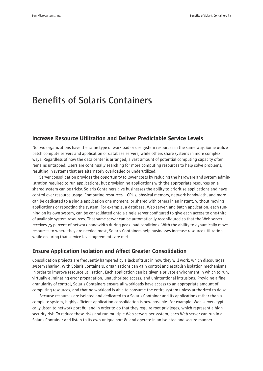## **Benefits of Solaris Containers**

### Increase Resource Utilization and Deliver Predictable Service Levels

No two organizations have the same type of workload or use system resources in the same way. Some utilize batch compute servers and application or database servers, while others share systems in more complex ways. Regardless of how the data center is arranged, a vast amount of potential computing capacity often remains untapped. Users are continually searching for more computing resources to help solve problems, resulting in systems that are alternately overloaded or underutilized.

Server consolidation provides the opportunity to lower costs by reducing the hardware and system administration required to run applications, but provisioning applications with the appropriate resources on a shared system can be tricky. Solaris Containers give businesses the ability to prioritize applications and have control over resource usage. Computing resources—CPUs, physical memory, network bandwidth, and more can be dedicated to a single application one moment, or shared with others in an instant, without moving applications or rebooting the system. For example, a database, Web server, and batch application, each running on its own system, can be consolidated onto a single server configured to give each access to one-third of available system resources. That same server can be automatically reconfigured so that the Web server receives 75 percent of network bandwidth during peak load conditions. With the ability to dynamically move resources to where they are needed most, Solaris Containers help businesses increase resource utilization while ensuring that service-level agreements are met.

### Ensure Application Isolation and Affect Greater Consolidation

Consolidation projects are frequently hampered by a lack of trust in how they will work, which discourages system sharing. With Solaris Containers, organizations can gain control and establish isolation mechanisms in order to improve resource utilization. Each application can be given a private environment in which to run, virtually eliminating error propagation, unauthorized access, and unintentional intrusions. Providing a fine granularity of control, Solaris Containers ensure all workloads have access to an appropriate amount of computing resources, and that no workload is able to consume the entire system unless authorized to do so.

Because resources are isolated and dedicated to a Solaris Container and its applications rather than a complete system, highly efficient application consolidation is now possible. For example, Web servers typically listen to network port 80, and in order to do that they require root privileges, which represent a high security risk. To reduce these risks and run multiple Web servers per system, each Web server can run in a Solaris Container and listen to its own unique port 80 and operate in an isolated and secure manner.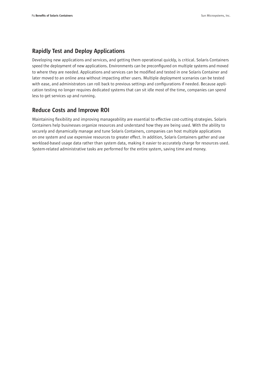### Rapidly Test and Deploy Applications

Developing new applications and services, and getting them operational quickly, is critical. Solaris Containers speed the deployment of new applications. Environments can be preconfigured on multiple systems and moved to where they are needed. Applications and services can be modified and tested in one Solaris Container and later moved to an online area without impacting other users. Multiple deployment scenarios can be tested with ease, and administrators can roll back to previous settings and configurations if needed. Because application testing no longer requires dedicated systems that can sit idle most of the time, companies can spend less to get services up and running.

### Reduce Costs and Improve ROI

Maintaining flexibility and improving manageability are essential to effective cost-cutting strategies. Solaris Containers help businesses organize resources and understand how they are being used. With the ability to securely and dynamically manage and tune Solaris Containers, companies can host multiple applications on one system and use expensive resources to greater effect. In addition, Solaris Containers gather and use workload-based usage data rather than system data, making it easier to accurately charge for resources used. System-related administrative tasks are performed for the entire system, saving time and money.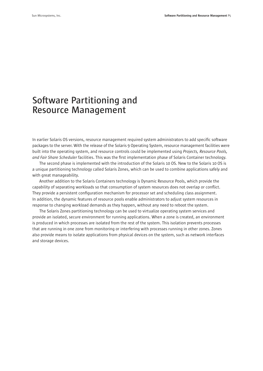### **Software Partitioning and Resource Management**

In earlier Solaris OS versions, resource management required system administrators to add specific software packages to the server. With the release of the Solaris 9 Operating System, resource management facilities were built into the operating system, and resource controls could be implemented using *Projects, Resource Pools, and Fair Share Scheduler* facilities. This was the first implementation phase of Solaris Container technology.

The second phase is implemented with the introduction of the Solaris 10 OS. New to the Solaris 10 OS is a unique partitioning technology called Solaris Zones, which can be used to combine applications safely and with great manageability.

Another addition to the Solaris Containers technology is Dynamic Resource Pools, which provide the capability of separating workloads so that consumption of system resources does not overlap or conflict. They provide a persistent configuration mechanism for processor set and scheduling class assignment. In addition, the dynamic features of resource pools enable administrators to adjust system resources in response to changing workload demands as they happen, without any need to reboot the system.

The Solaris Zones partitioning technology can be used to virtualize operating system services and provide an isolated, secure environment for running applications. When a zone is created, an environment is produced in which processes are isolated from the rest of the system. This isolation prevents processes that are running in one zone from monitoring or interfering with processes running in other zones. Zones also provide means to isolate applications from physical devices on the system, such as network interfaces and storage devices.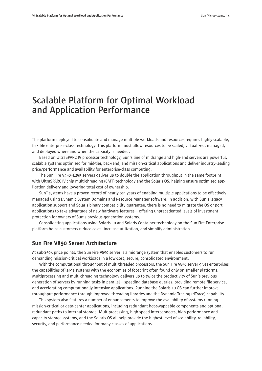### **Scalable Platform for Optimal Workload and Application Performance**

The platform deployed to consolidate and manage multiple workloads and resources requires highly scalable, flexible enterprise-class technology. This platform must allow resources to be scaled, virtualized, managed, and deployed where and when the capacity is needed.

Based on UltraSPARC IV processor technology, Sun's line of midrange and high-end servers are powerful, scalable systems optimized for mid-tier, back-end, and mission-critical applications and deliver industry-leading price/performance and availability for enterprise-class computing.

The Sun Fire V490–E25K servers deliver up to double the application throughput in the same footprint with UltraSPARC IV chip multi-threading (CMT) technology and the Solaris OS, helping ensure optimized application delivery and lowering total cost of ownership.

Sun™ systems have a proven record of nearly ten years of enabling multiple applications to be effectively managed using Dynamic System Domains and Resource Manager software. In addition, with Sun's legacy application support and Solaris binary compatibility guarantee, there is no need to migrate the OS or port applications to take advantage of new hardware features—offering unprecedented levels of investment protection for owners of Sun's previous-generation systems.

Consolidating applications using Solaris 10 and Solaris Container technology on the Sun Fire Enterprise platform helps customers reduce costs, increase utilization, and simplify administration.

#### Sun Fire V890 Server Architecture

At sub-\$50K price points, the Sun Fire V890 server is a midrange system that enables customers to run demanding mission-critical workloads in a low-cost, secure, consolidated environment.

With the computational throughput of multi-threaded processors, the Sun Fire V890 server gives enterprises the capabilities of large systems with the economies of footprint often found only on smaller platforms. Multiprocessing and multi-threading technology delivers up to twice the productivity of Sun's previous generation of servers by running tasks in parallel—speeding database queries, providing remote file service, and accelerating computationally intensive applications. Running the Solaris 10 OS can further improve throughput performance through improved threading libraries and the Dynamic Tracing (dTrace) capability.

This system also features a number of enhancements to improve the availability of systems running mission-critical or data-center applications, including redundant hot-swappable components and optional redundant paths to internal storage. Multiprocessing, high-speed interconnects, high-performance and capacity storage systems, and the Solaris OS all help provide the highest level of scalability, reliability, security, and performance needed for many classes of applications.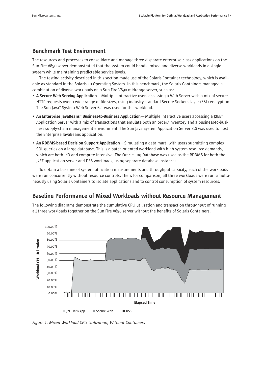### Benchmark Test Environment

The resources and processes to consolidate and manage three disparate enterprise-class applications on the Sun Fire V890 server demonstrated that the system could handle mixed and diverse workloads in a single system while maintaining predictable service levels.

The testing activity described in this section made use of the Solaris Container technology, which is available as standard in the Solaris 10 Operating System. In this benchmark, the Solaris Containers managed a combination of diverse workloads on a Sun Fire V890 midrange server, such as:

- A Secure Web Serving Application—Multiple interactive users accessing a Web Server with a mix of secure HTTP requests over a wide range of file sizes, using industry-standard Secure Sockets Layer (SSL) encryption. The Sun Java™ System Web Server 6.1 was used for this workload.
- An Enterprise JavaBeans™ Business-to-Business Application Multiple interactive users accessing a J2EE<sup>™</sup> Application Server with a mix of transactions that emulate both an order/inventory and a business-to-business supply-chain management environment. The Sun Java System Application Server 8.0 was used to host the Enterprise JavaBeans application.
- An RDBMS-based Decision Support Application—Simulating a data mart, with users submitting complex SQL queries on a large database. This is a batch-oriented workload with high system resource demands, which are both I/O and compute-intensive. The Oracle 10g Database was used as the RDBMS for both the J2EE application server and DSS workloads, using separate database instances.

To obtain a baseline of system utilization measurements and throughput capacity, each of the workloads were run concurrently without resource controls. Then, for comparison, all three workloads were run simultaneously using Solaris Containers to isolate applications and to control consumption of system resources.

### Baseline Performance of Mixed Workloads without Resource Management

The following diagrams demonstrate the cumulative CPU utilization and transaction throughput of running all three workloads together on the Sun Fire V890 server without the benefits of Solaris Containers.



*Figure 1. Mixed Workload CPU Utilization, Without Containers*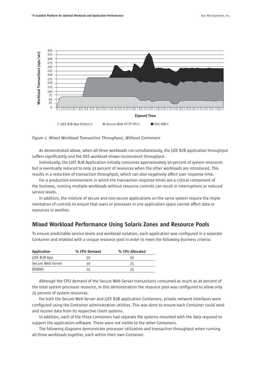

*Figure 2. Mixed Workload Transaction Throughput, Without Containers*

As demonstrated above, when all three workloads run simultaneously, the J2EE B2B application throughput suffers significantly and the DSS workload shows inconsistent throughput.

Individually, the J2EE B2B Application initially consumes approximately 50 percent of system resources but is eventually reduced to only 33 percent of resources when the other workloads are introduced. This results in a reduction of transaction throughput, which can also negatively affect user response time.

For a production environment in which the transaction response times are a critical component of the business, running multiple workloads without resource controls can result in interruptions or reduced service levels.

In addition, the mixture of secure and non-secure applications on the same system require the implementation of controls to ensure that users or processes in one application space cannot affect data or resources in another.

### Mixed Workload Performance Using Solaris Zones and Resource Pools

To ensure predictable service levels and workload isolation, each application was configured in a separate Container and enabled with a unique resource pool in order to meet the following business criteria:

| <b>Application</b>  | % CPU Demand | % CPU Allocated |
|---------------------|--------------|-----------------|
| <b>J2EE B2B App</b> | 50           | 50              |
| Secure Web Server   | 30           | 25              |
| <b>RDBMS</b>        | 25           | 25              |

Although the CPU demand of the Secure Web Server transactions consumed as much as 30 percent of the total system processor resource, in this demonstration the resource pool was configured to allow only 25 percent of system resources.

For both the Secure Web Server and J2EE B2B application Containers, private network interfaces were configured using the Container administration utilities. This was done to ensure each Container could send and receive data from its respective client systems.

In addition, each of the three Containers had separate file systems mounted with the data required to support the application software. These were not visible to the other Containers.

The following diagrams demonstrate processor utilization and transaction throughput when running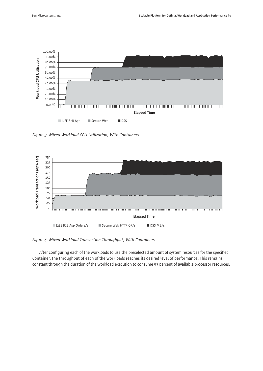

*Figure 3. Mixed Workload CPU Utilization, With Containers*



*Figure 4. Mixed Workload Transaction Throughput, With Containers*

After configuring each of the workloads to use the preselected amount of system resources for the specified Container, the throughput of each of the workloads reaches its desired level of performance. This remains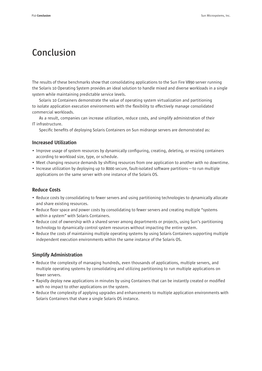# **Conclusion**

The results of these benchmarks show that consolidating applications to the Sun Fire V890 server running the Solaris 10 Operating System provides an ideal solution to handle mixed and diverse workloads in a single system while maintaining predictable service levels.

Solaris 10 Containers demonstrate the value of operating system virtualization and partitioning to isolate application execution environments with the flexibility to effectively manage consolidated commercial workloads.

As a result, companies can increase utilization, reduce costs, and simplify administration of their IT infrastructure.

Specific benefits of deploying Solaris Containers on Sun midrange servers are demonstrated as:

#### Increased Utilization

- Improve usage of system resources by dynamically configuring, creating, deleting, or resizing containers according to workload size, type, or schedule.
- Meet changing resource demands by shifting resources from one application to another with no downtime.
- Increase utilization by deploying up to 8000 secure, fault-isolated software partitions—to run multiple applications on the same server with one instance of the Solaris OS.

### Reduce Costs

- Reduce costs by consolidating to fewer servers and using partitioning technologies to dynamically allocate and share existing resources.
- Reduce floor space and power costs by consolidating to fewer servers and creating multiple "systems within a system" with Solaris Containers.
- Reduce cost of ownership with a shared server among departments or projects, using Sun's partitioning technology to dynamically control system resources without impacting the entire system.
- Reduce the costs of maintaining multiple operating systems by using Solaris Containers supporting multiple independent execution environments within the same instance of the Solaris OS.

#### Simplify Administration

- Reduce the complexity of managing hundreds, even thousands of applications, multiple servers, and multiple operating systems by consolidating and utilizing partitioning to run multiple applications on fewer servers.
- Rapidly deploy new applications in minutes by using Containers that can be instantly created or modified with no impact to other applications on the system.
- Reduce the complexity of applying upgrades and enhancements to multiple application environments with Solaris Containers that share a single Solaris OS instance.